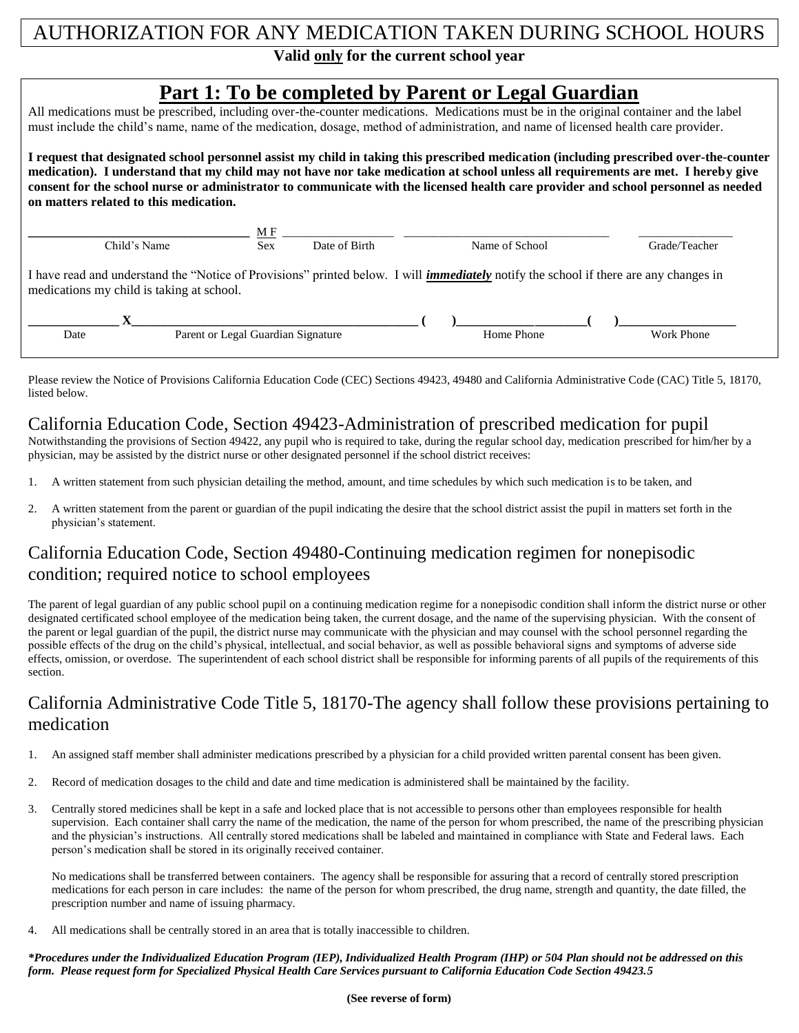# AUTHORIZATION FOR ANY MEDICATION TAKEN DURING SCHOOL HOURS

### **Valid only for the current school year**

# **Part 1: To be completed by Parent or Legal Guardian**

All medications must be prescribed, including over-the-counter medications. Medications must be in the original container and the label must include the child's name, name of the medication, dosage, method of administration, and name of licensed health care provider.

**I request that designated school personnel assist my child in taking this prescribed medication (including prescribed over-the-counter medication). I understand that my child may not have nor take medication at school unless all requirements are met. I hereby give consent for the school nurse or administrator to communicate with the licensed health care provider and school personnel as needed on matters related to this medication.** 

|              |                                           | МF                                 |               |                                                                                                                                              | Grade/Teacher |            |  |
|--------------|-------------------------------------------|------------------------------------|---------------|----------------------------------------------------------------------------------------------------------------------------------------------|---------------|------------|--|
| Child's Name |                                           | <b>Sex</b>                         | Date of Birth | Name of School                                                                                                                               |               |            |  |
|              | medications my child is taking at school. |                                    |               | I have read and understand the "Notice of Provisions" printed below. I will <i>immediately</i> notify the school if there are any changes in |               |            |  |
|              |                                           |                                    |               |                                                                                                                                              |               |            |  |
| Date         |                                           | Parent or Legal Guardian Signature |               | Home Phone                                                                                                                                   |               | Work Phone |  |

Please review the Notice of Provisions California Education Code (CEC) Sections 49423, 49480 and California Administrative Code (CAC) Title 5, 18170, listed below.

#### California Education Code, Section 49423-Administration of prescribed medication for pupil

Notwithstanding the provisions of Section 49422, any pupil who is required to take, during the regular school day, medication prescribed for him/her by a physician, may be assisted by the district nurse or other designated personnel if the school district receives:

- 1. A written statement from such physician detailing the method, amount, and time schedules by which such medication is to be taken, and
- 2. A written statement from the parent or guardian of the pupil indicating the desire that the school district assist the pupil in matters set forth in the physician's statement.

# California Education Code, Section 49480-Continuing medication regimen for nonepisodic condition; required notice to school employees

The parent of legal guardian of any public school pupil on a continuing medication regime for a nonepisodic condition shall inform the district nurse or other designated certificated school employee of the medication being taken, the current dosage, and the name of the supervising physician. With the consent of the parent or legal guardian of the pupil, the district nurse may communicate with the physician and may counsel with the school personnel regarding the possible effects of the drug on the child's physical, intellectual, and social behavior, as well as possible behavioral signs and symptoms of adverse side effects, omission, or overdose. The superintendent of each school district shall be responsible for informing parents of all pupils of the requirements of this section.

## California Administrative Code Title 5, 18170-The agency shall follow these provisions pertaining to medication

- 1. An assigned staff member shall administer medications prescribed by a physician for a child provided written parental consent has been given.
- 2. Record of medication dosages to the child and date and time medication is administered shall be maintained by the facility.
- 3. Centrally stored medicines shall be kept in a safe and locked place that is not accessible to persons other than employees responsible for health supervision. Each container shall carry the name of the medication, the name of the person for whom prescribed, the name of the prescribing physician and the physician's instructions. All centrally stored medications shall be labeled and maintained in compliance with State and Federal laws. Each person's medication shall be stored in its originally received container.

No medications shall be transferred between containers. The agency shall be responsible for assuring that a record of centrally stored prescription medications for each person in care includes: the name of the person for whom prescribed, the drug name, strength and quantity, the date filled, the prescription number and name of issuing pharmacy.

4. All medications shall be centrally stored in an area that is totally inaccessible to children.

*\*Procedures under the Individualized Education Program (IEP), Individualized Health Program (IHP) or 504 Plan should not be addressed on this form. Please request form for Specialized Physical Health Care Services pursuant to California Education Code Section 49423.5* 

**(See reverse of form)**